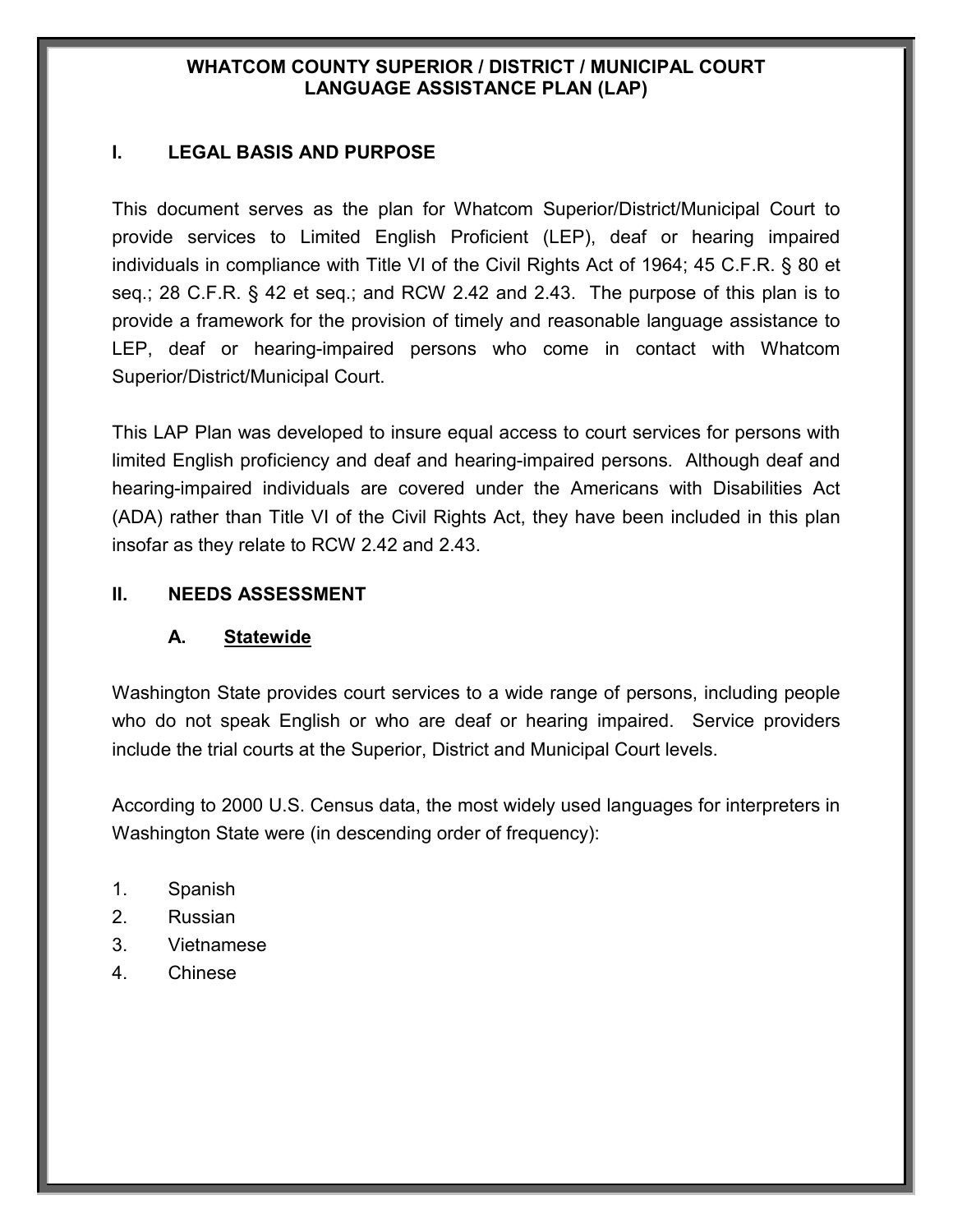### **WHATCOM COUNTY SUPERIOR / DISTRICT / MUNICIPAL COURT LANGUAGE ASSISTANCE PLAN (LAP)**

### **I. LEGAL BASIS AND PURPOSE**

This document serves as the plan for Whatcom Superior/District/Municipal Court to provide services to Limited English Proficient (LEP), deaf or hearing impaired individuals in compliance with Title VI of the Civil Rights Act of 1964; 45 C.F.R. § 80 et seq.; 28 C.F.R. § 42 et seq.; and RCW 2.42 and 2.43. The purpose of this plan is to provide a framework for the provision of timely and reasonable language assistance to LEP, deaf or hearing-impaired persons who come in contact with Whatcom Superior/District/Municipal Court.

This LAP Plan was developed to insure equal access to court services for persons with limited English proficiency and deaf and hearing-impaired persons. Although deaf and hearing-impaired individuals are covered under the Americans with Disabilities Act (ADA) rather than Title VI of the Civil Rights Act, they have been included in this plan insofar as they relate to RCW 2.42 and 2.43.

### **II. NEEDS ASSESSMENT**

### **A. Statewide**

Washington State provides court services to a wide range of persons, including people who do not speak English or who are deaf or hearing impaired. Service providers include the trial courts at the Superior, District and Municipal Court levels.

According to 2000 U.S. Census data, the most widely used languages for interpreters in Washington State were (in descending order of frequency):

- 1. Spanish
- 2. Russian
- 3. Vietnamese
- 4. Chinese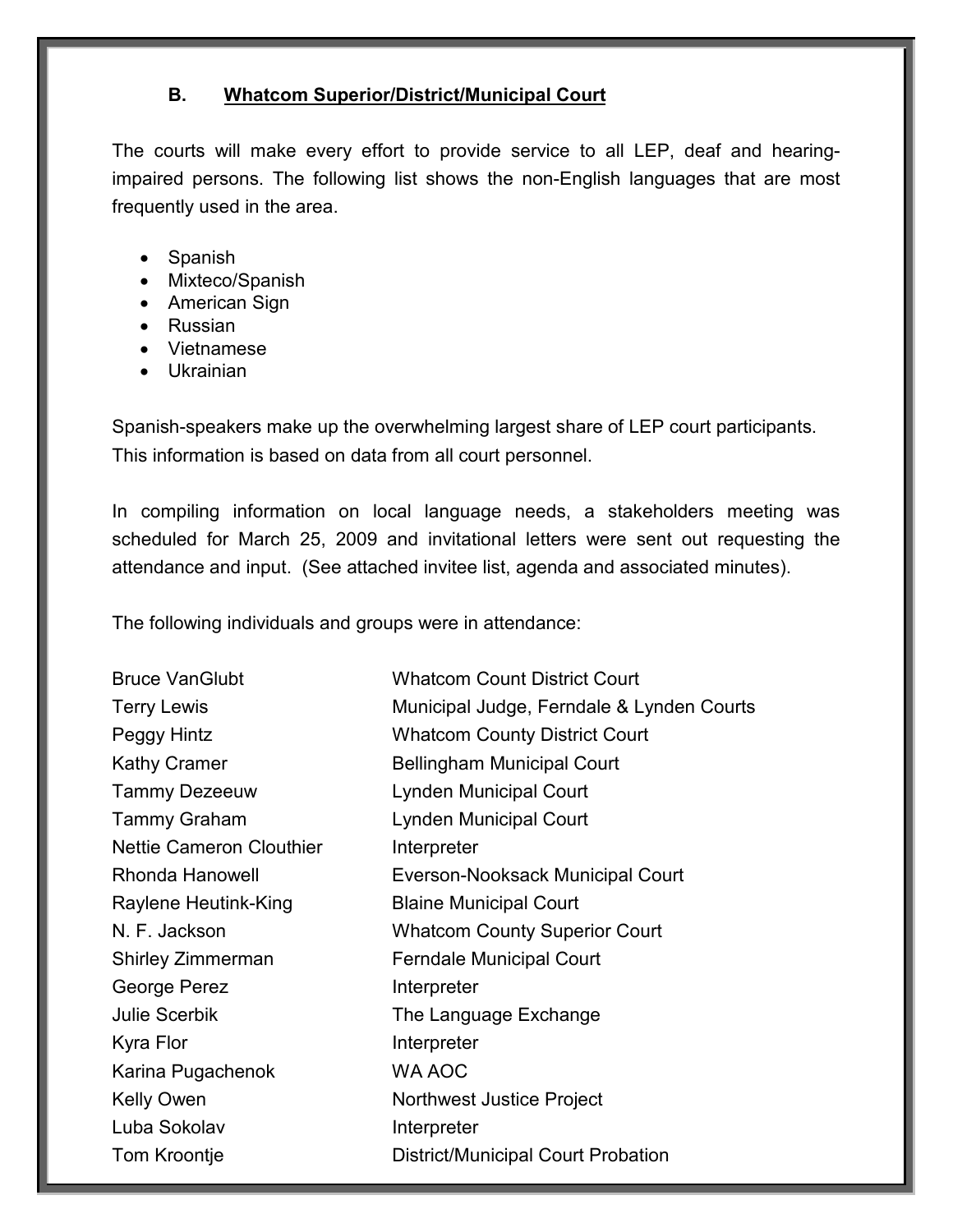### **B. Whatcom Superior/District/Municipal Court**

The courts will make every effort to provide service to all LEP, deaf and hearingimpaired persons. The following list shows the non-English languages that are most frequently used in the area.

- Spanish
- Mixteco/Spanish
- American Sign
- Russian
- Vietnamese
- Ukrainian

Spanish-speakers make up the overwhelming largest share of LEP court participants. This information is based on data from all court personnel.

In compiling information on local language needs, a stakeholders meeting was scheduled for March 25, 2009 and invitational letters were sent out requesting the attendance and input. (See attached invitee list, agenda and associated minutes).

The following individuals and groups were in attendance:

| <b>Bruce VanGlubt</b>           | <b>Whatcom Count District Court</b>       |
|---------------------------------|-------------------------------------------|
| <b>Terry Lewis</b>              | Municipal Judge, Ferndale & Lynden Courts |
| Peggy Hintz                     | <b>Whatcom County District Court</b>      |
| <b>Kathy Cramer</b>             | <b>Bellingham Municipal Court</b>         |
| <b>Tammy Dezeeuw</b>            | Lynden Municipal Court                    |
| Tammy Graham                    | <b>Lynden Municipal Court</b>             |
| <b>Nettie Cameron Clouthier</b> | Interpreter                               |
| Rhonda Hanowell                 | Everson-Nooksack Municipal Court          |
| Raylene Heutink-King            | <b>Blaine Municipal Court</b>             |
| N. F. Jackson                   | <b>Whatcom County Superior Court</b>      |
| <b>Shirley Zimmerman</b>        | <b>Ferndale Municipal Court</b>           |
| George Perez                    | Interpreter                               |
| <b>Julie Scerbik</b>            | The Language Exchange                     |
| Kyra Flor                       | Interpreter                               |
| Karina Pugachenok               | <b>WA AOC</b>                             |
| <b>Kelly Owen</b>               | Northwest Justice Project                 |
| Luba Sokolav                    | Interpreter                               |
| Tom Kroontje                    | <b>District/Municipal Court Probation</b> |
|                                 |                                           |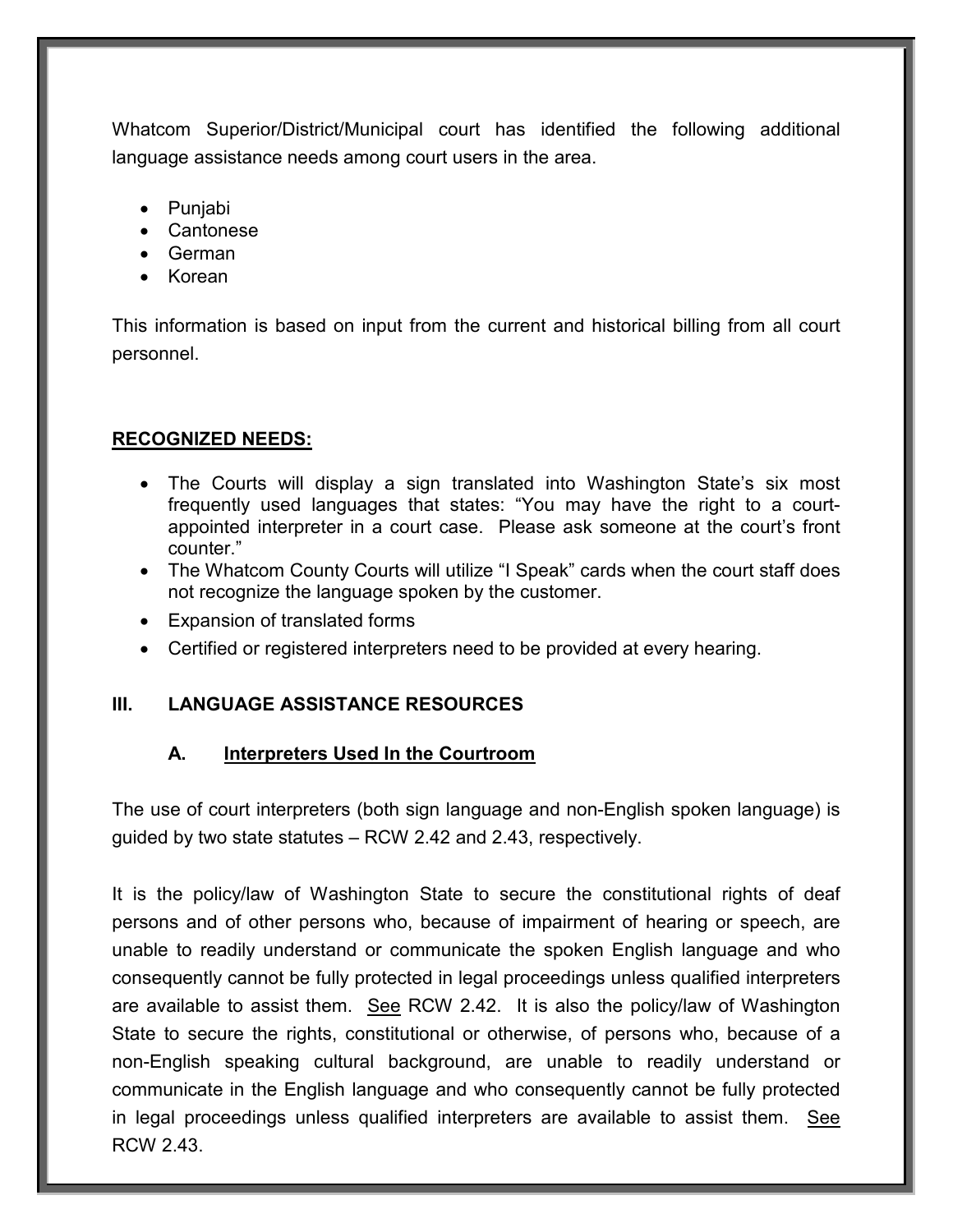Whatcom Superior/District/Municipal court has identified the following additional language assistance needs among court users in the area.

- Punjabi
- Cantonese
- German
- Korean

This information is based on input from the current and historical billing from all court personnel.

### **RECOGNIZED NEEDS:**

- The Courts will display a sign translated into Washington State's six most frequently used languages that states: "You may have the right to a courtappointed interpreter in a court case. Please ask someone at the court's front counter."
- The Whatcom County Courts will utilize "I Speak" cards when the court staff does not recognize the language spoken by the customer.
- Expansion of translated forms
- Certified or registered interpreters need to be provided at every hearing.

### **III. LANGUAGE ASSISTANCE RESOURCES**

### **A. Interpreters Used In the Courtroom**

The use of court interpreters (both sign language and non-English spoken language) is guided by two state statutes – RCW 2.42 and 2.43, respectively.

It is the policy/law of Washington State to secure the constitutional rights of deaf persons and of other persons who, because of impairment of hearing or speech, are unable to readily understand or communicate the spoken English language and who consequently cannot be fully protected in legal proceedings unless qualified interpreters are available to assist them. See RCW 2.42. It is also the policy/law of Washington State to secure the rights, constitutional or otherwise, of persons who, because of a non-English speaking cultural background, are unable to readily understand or communicate in the English language and who consequently cannot be fully protected in legal proceedings unless qualified interpreters are available to assist them. See RCW 2.43.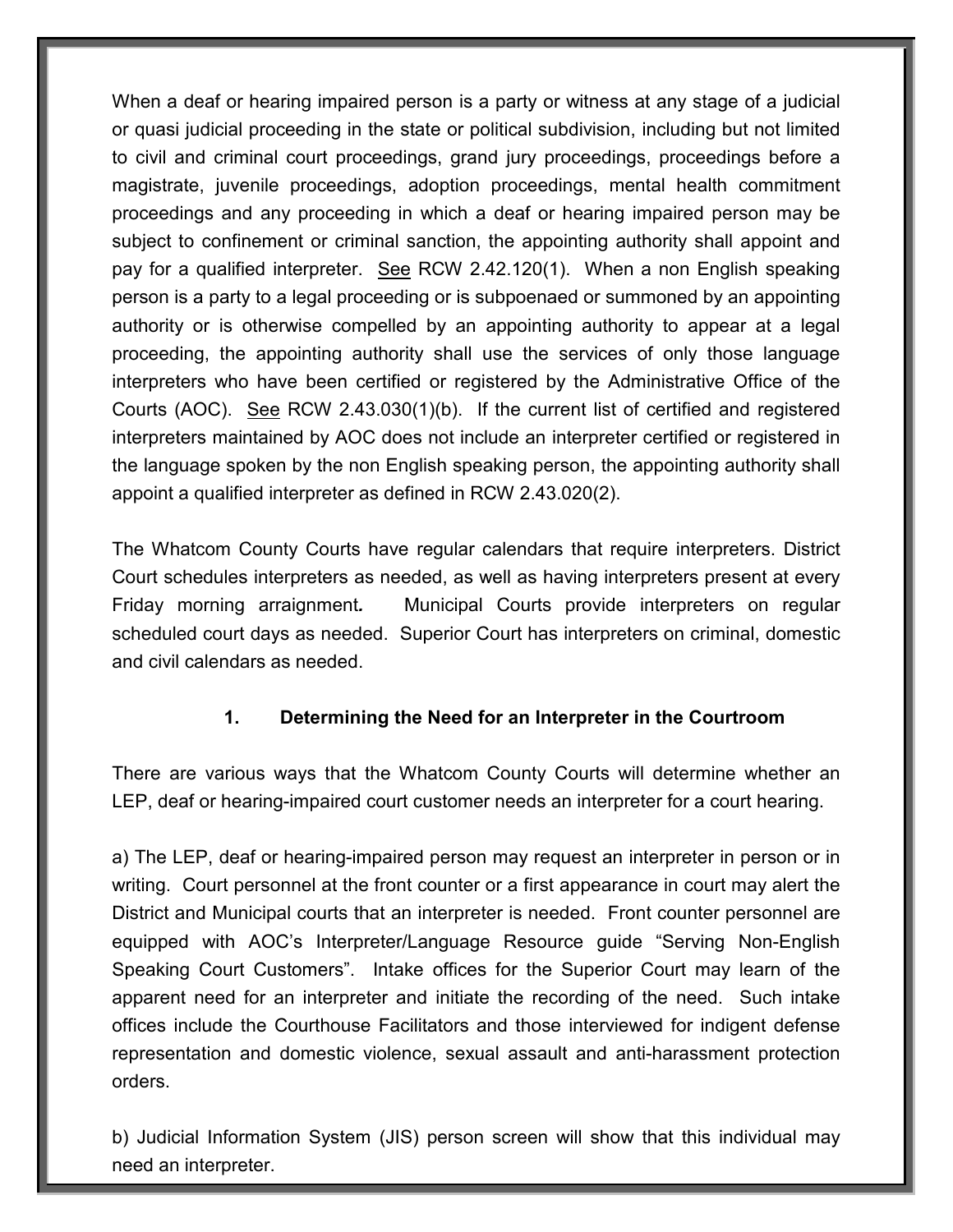When a deaf or hearing impaired person is a party or witness at any stage of a judicial or quasi judicial proceeding in the state or political subdivision, including but not limited to civil and criminal court proceedings, grand jury proceedings, proceedings before a magistrate, juvenile proceedings, adoption proceedings, mental health commitment proceedings and any proceeding in which a deaf or hearing impaired person may be subject to confinement or criminal sanction, the appointing authority shall appoint and pay for a qualified interpreter. See RCW 2.42.120(1). When a non English speaking person is a party to a legal proceeding or is subpoenaed or summoned by an appointing authority or is otherwise compelled by an appointing authority to appear at a legal proceeding, the appointing authority shall use the services of only those language interpreters who have been certified or registered by the Administrative Office of the Courts (AOC). See RCW 2.43.030(1)(b). If the current list of certified and registered interpreters maintained by AOC does not include an interpreter certified or registered in the language spoken by the non English speaking person, the appointing authority shall appoint a qualified interpreter as defined in RCW 2.43.020(2).

The Whatcom County Courts have regular calendars that require interpreters. District Court schedules interpreters as needed, as well as having interpreters present at every Friday morning arraignment*.* Municipal Courts provide interpreters on regular scheduled court days as needed. Superior Court has interpreters on criminal, domestic and civil calendars as needed.

### **1. Determining the Need for an Interpreter in the Courtroom**

There are various ways that the Whatcom County Courts will determine whether an LEP, deaf or hearing-impaired court customer needs an interpreter for a court hearing.

a) The LEP, deaf or hearing-impaired person may request an interpreter in person or in writing. Court personnel at the front counter or a first appearance in court may alert the District and Municipal courts that an interpreter is needed. Front counter personnel are equipped with AOC's Interpreter/Language Resource guide "Serving Non-English Speaking Court Customers". Intake offices for the Superior Court may learn of the apparent need for an interpreter and initiate the recording of the need. Such intake offices include the Courthouse Facilitators and those interviewed for indigent defense representation and domestic violence, sexual assault and anti-harassment protection orders.

b) Judicial Information System (JIS) person screen will show that this individual may need an interpreter.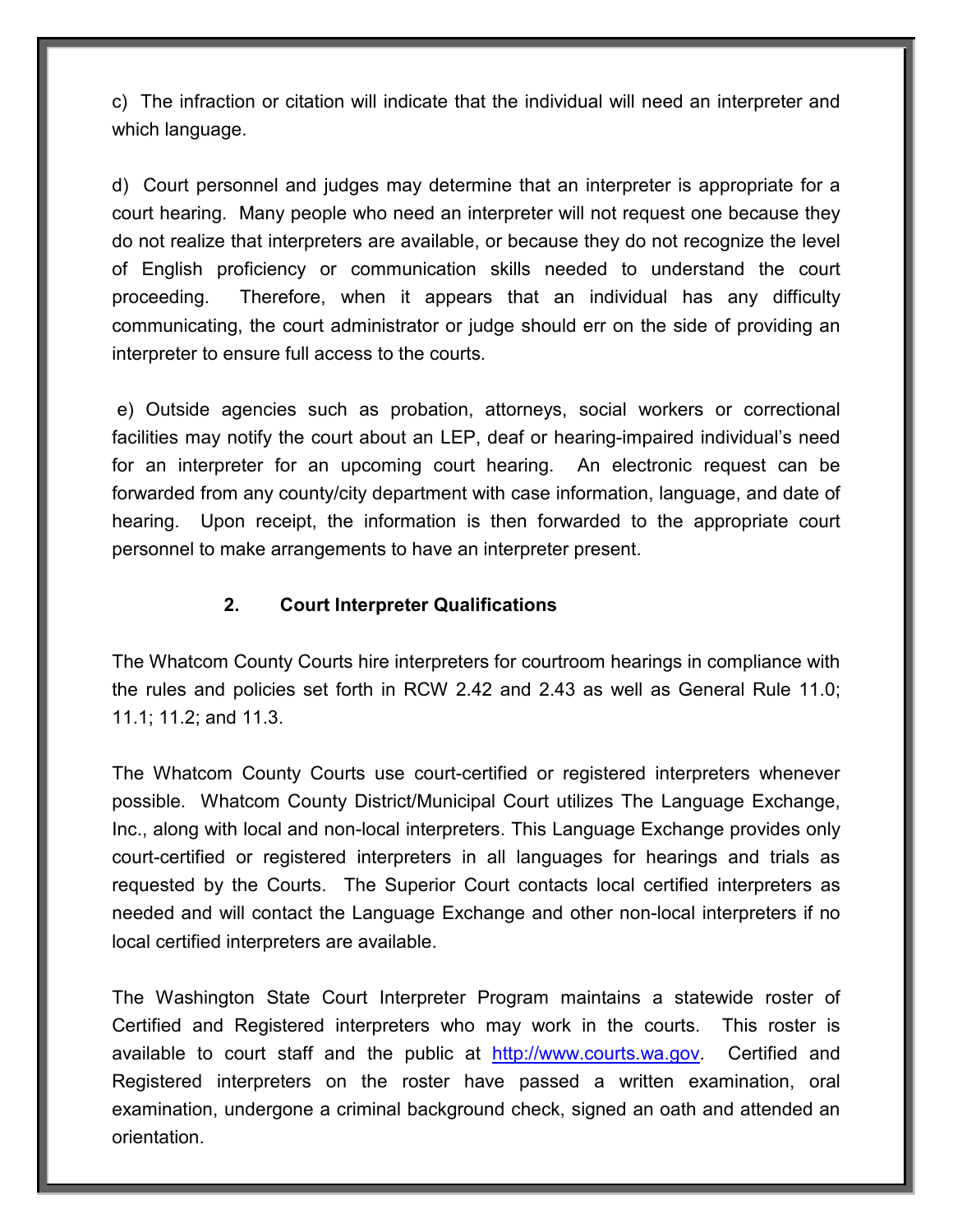c) The infraction or citation will indicate that the individual will need an interpreter and which language.

d) Court personnel and judges may determine that an interpreter is appropriate for a court hearing. Many people who need an interpreter will not request one because they do not realize that interpreters are available, or because they do not recognize the level of English proficiency or communication skills needed to understand the court proceeding. Therefore, when it appears that an individual has any difficulty communicating, the court administrator or judge should err on the side of providing an interpreter to ensure full access to the courts.

 e) Outside agencies such as probation, attorneys, social workers or correctional facilities may notify the court about an LEP, deaf or hearing-impaired individual's need for an interpreter for an upcoming court hearing. An electronic request can be forwarded from any county/city department with case information, language, and date of hearing. Upon receipt, the information is then forwarded to the appropriate court personnel to make arrangements to have an interpreter present.

### **2. Court Interpreter Qualifications**

The Whatcom County Courts hire interpreters for courtroom hearings in compliance with the rules and policies set forth in RCW 2.42 and 2.43 as well as General Rule 11.0; 11.1; 11.2; and 11.3.

The Whatcom County Courts use court-certified or registered interpreters whenever possible. Whatcom County District/Municipal Court utilizes The Language Exchange, Inc., along with local and non-local interpreters. This Language Exchange provides only court-certified or registered interpreters in all languages for hearings and trials as requested by the Courts. The Superior Court contacts local certified interpreters as needed and will contact the Language Exchange and other non-local interpreters if no local certified interpreters are available.

The Washington State Court Interpreter Program maintains a statewide roster of Certified and Registered interpreters who may work in the courts. This roster is available to court staff and the public at http://www.courts.wa.gov. Certified and Registered interpreters on the roster have passed a written examination, oral examination, undergone a criminal background check, signed an oath and attended an orientation.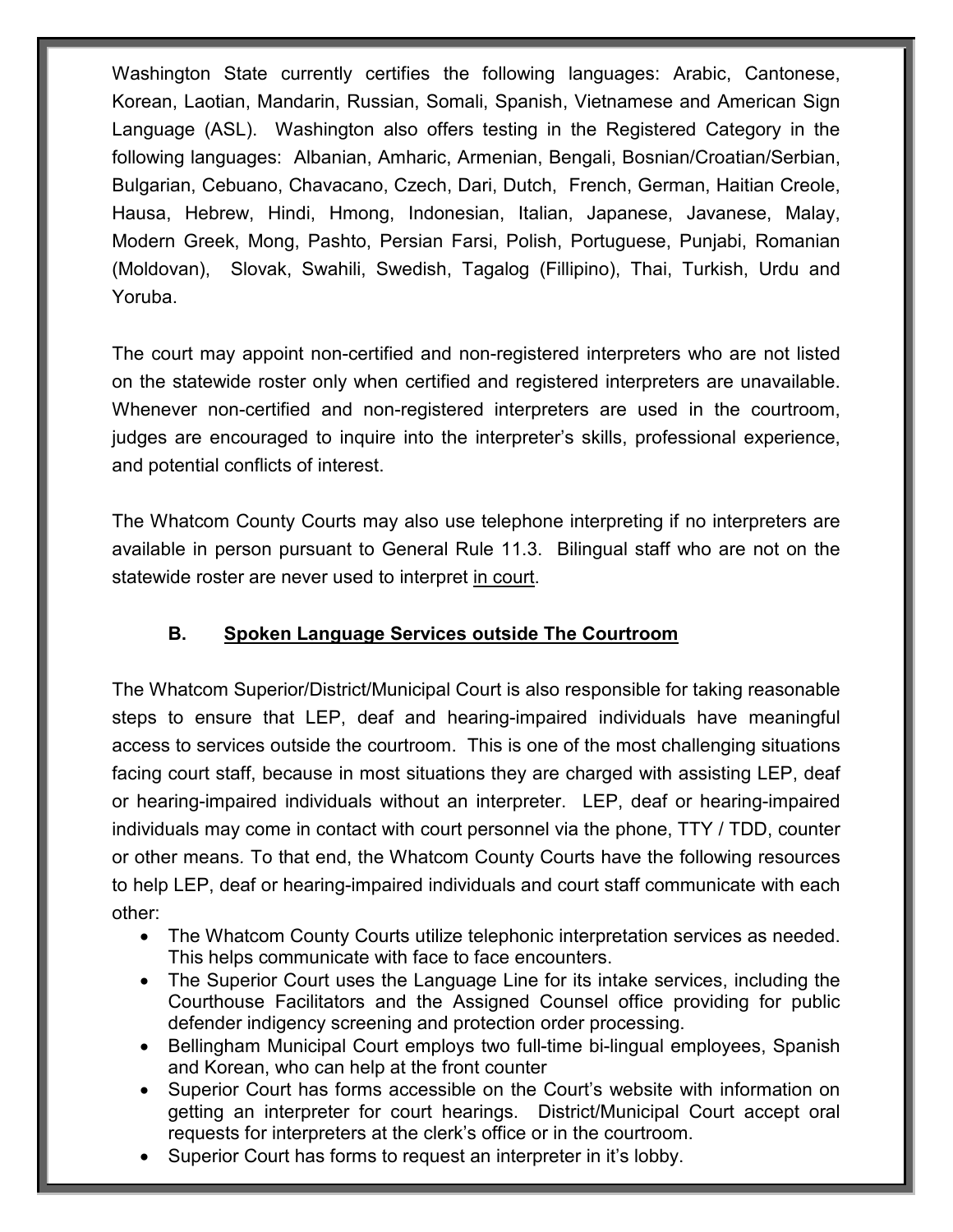Washington State currently certifies the following languages: Arabic, Cantonese, Korean, Laotian, Mandarin, Russian, Somali, Spanish, Vietnamese and American Sign Language (ASL). Washington also offers testing in the Registered Category in the following languages: Albanian, Amharic, Armenian, Bengali, Bosnian/Croatian/Serbian, Bulgarian, Cebuano, Chavacano, Czech, Dari, Dutch, French, German, Haitian Creole, Hausa, Hebrew, Hindi, Hmong, Indonesian, Italian, Japanese, Javanese, Malay, Modern Greek, Mong, Pashto, Persian Farsi, Polish, Portuguese, Punjabi, Romanian (Moldovan), Slovak, Swahili, Swedish, Tagalog (Fillipino), Thai, Turkish, Urdu and Yoruba.

The court may appoint non-certified and non-registered interpreters who are not listed on the statewide roster only when certified and registered interpreters are unavailable. Whenever non-certified and non-registered interpreters are used in the courtroom, judges are encouraged to inquire into the interpreter's skills, professional experience, and potential conflicts of interest.

The Whatcom County Courts may also use telephone interpreting if no interpreters are available in person pursuant to General Rule 11.3. Bilingual staff who are not on the statewide roster are never used to interpret in court.

### **B. Spoken Language Services outside The Courtroom**

The Whatcom Superior/District/Municipal Court is also responsible for taking reasonable steps to ensure that LEP, deaf and hearing-impaired individuals have meaningful access to services outside the courtroom. This is one of the most challenging situations facing court staff, because in most situations they are charged with assisting LEP, deaf or hearing-impaired individuals without an interpreter. LEP, deaf or hearing-impaired individuals may come in contact with court personnel via the phone, TTY / TDD, counter or other means*.* To that end, the Whatcom County Courts have the following resources to help LEP, deaf or hearing-impaired individuals and court staff communicate with each other:

- The Whatcom County Courts utilize telephonic interpretation services as needed. This helps communicate with face to face encounters.
- The Superior Court uses the Language Line for its intake services, including the Courthouse Facilitators and the Assigned Counsel office providing for public defender indigency screening and protection order processing.
- Bellingham Municipal Court employs two full-time bi-lingual employees, Spanish and Korean, who can help at the front counter
- Superior Court has forms accessible on the Court's website with information on getting an interpreter for court hearings. District/Municipal Court accept oral requests for interpreters at the clerk's office or in the courtroom.
- Superior Court has forms to request an interpreter in it's lobby.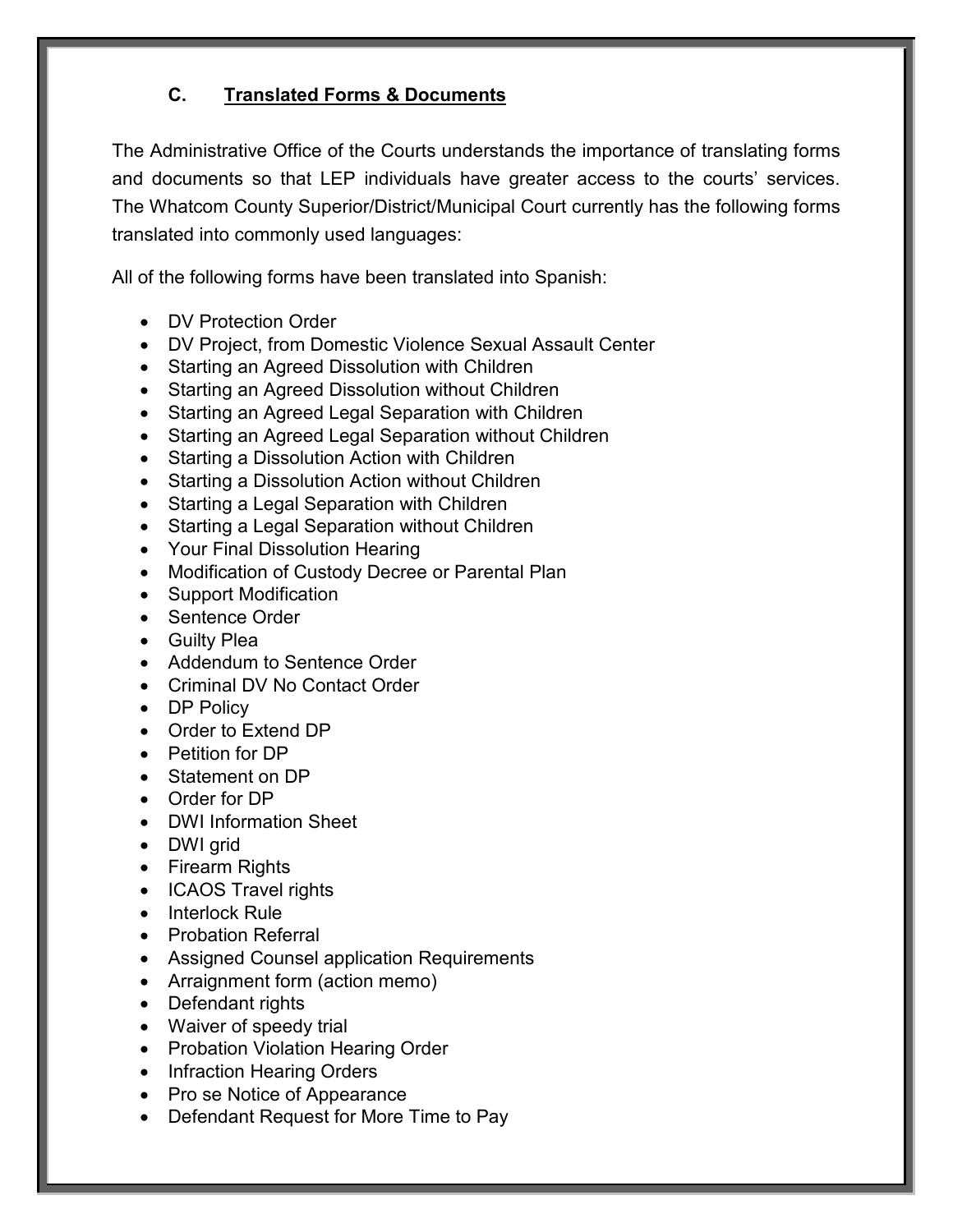### **C. Translated Forms & Documents**

The Administrative Office of the Courts understands the importance of translating forms and documents so that LEP individuals have greater access to the courts' services. The Whatcom County Superior/District/Municipal Court currently has the following forms translated into commonly used languages:

All of the following forms have been translated into Spanish:

- DV Protection Order
- DV Project, from Domestic Violence Sexual Assault Center
- Starting an Agreed Dissolution with Children
- Starting an Agreed Dissolution without Children
- Starting an Agreed Legal Separation with Children
- Starting an Agreed Legal Separation without Children
- Starting a Dissolution Action with Children
- Starting a Dissolution Action without Children
- Starting a Legal Separation with Children
- Starting a Legal Separation without Children
- Your Final Dissolution Hearing
- Modification of Custody Decree or Parental Plan
- Support Modification
- Sentence Order
- Guilty Plea
- Addendum to Sentence Order
- Criminal DV No Contact Order
- DP Policy
- Order to Extend DP
- Petition for DP
- Statement on DP
- Order for DP
- DWI Information Sheet
- DWI grid
- Firearm Rights
- ICAOS Travel rights
- Interlock Rule
- Probation Referral
- Assigned Counsel application Requirements
- Arraignment form (action memo)
- Defendant rights
- Waiver of speedy trial
- Probation Violation Hearing Order
- Infraction Hearing Orders
- Pro se Notice of Appearance
- Defendant Request for More Time to Pay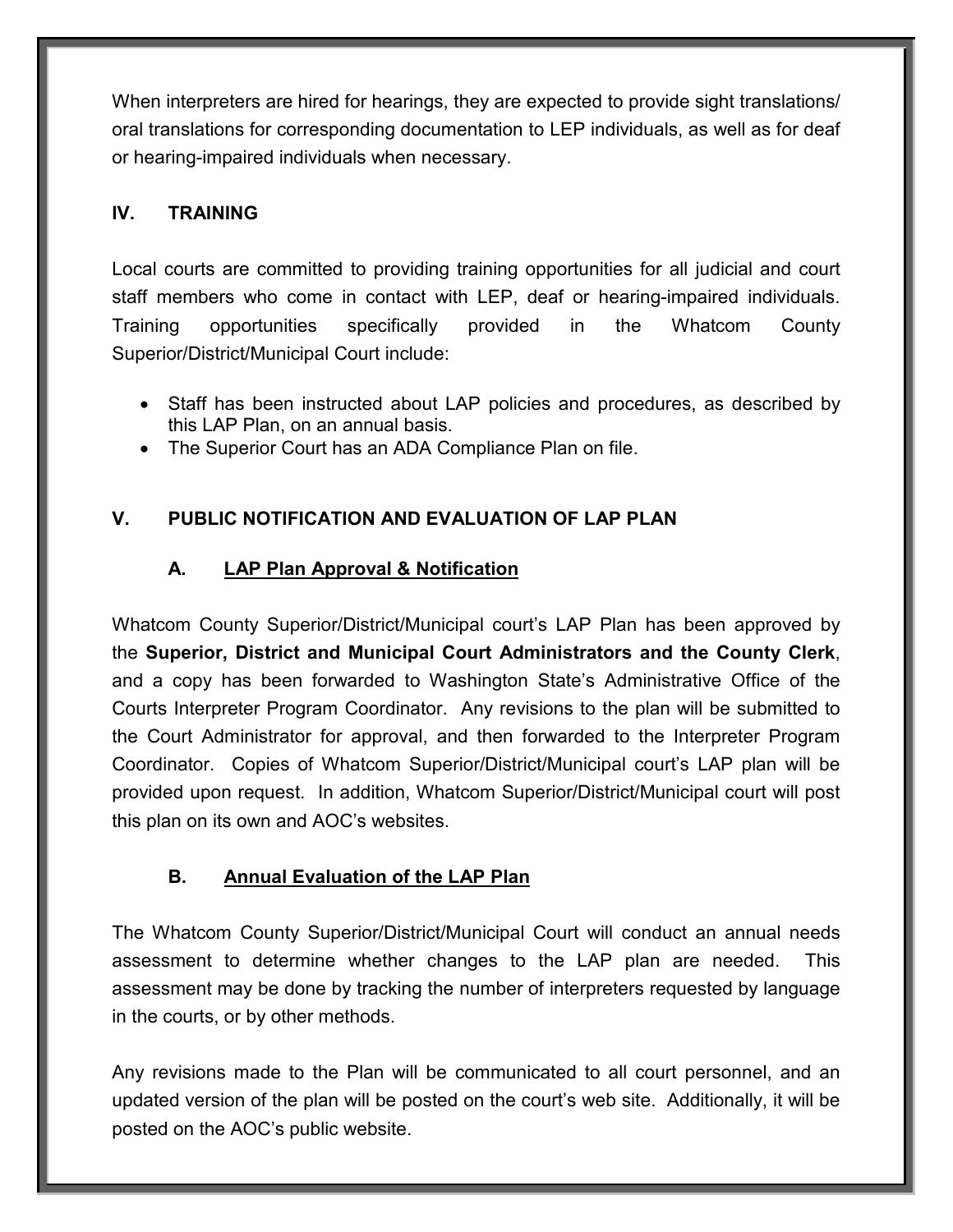When interpreters are hired for hearings, they are expected to provide sight translations/ oral translations for corresponding documentation to LEP individuals, as well as for deaf or hearing-impaired individuals when necessary.

### **IV. TRAINING**

Local courts are committed to providing training opportunities for all judicial and court staff members who come in contact with LEP, deaf or hearing-impaired individuals. Training opportunities specifically provided in the Whatcom County Superior/District/Municipal Court include:

- Staff has been instructed about LAP policies and procedures, as described by this LAP Plan, on an annual basis.
- The Superior Court has an ADA Compliance Plan on file.

## **V. PUBLIC NOTIFICATION AND EVALUATION OF LAP PLAN**

## **A. LAP Plan Approval & Notification**

Whatcom County Superior/District/Municipal court's LAP Plan has been approved by the **Superior, District and Municipal Court Administrators and the County Clerk**, and a copy has been forwarded to Washington State's Administrative Office of the Courts Interpreter Program Coordinator. Any revisions to the plan will be submitted to the Court Administrator for approval, and then forwarded to the Interpreter Program Coordinator. Copies of Whatcom Superior/District/Municipal court's LAP plan will be provided upon request. In addition, Whatcom Superior/District/Municipal court will post this plan on its own and AOC's websites.

## **B. Annual Evaluation of the LAP Plan**

The Whatcom County Superior/District/Municipal Court will conduct an annual needs assessment to determine whether changes to the LAP plan are needed. This assessment may be done by tracking the number of interpreters requested by language in the courts, or by other methods.

Any revisions made to the Plan will be communicated to all court personnel, and an updated version of the plan will be posted on the court's web site. Additionally, it will be posted on the AOC's public website.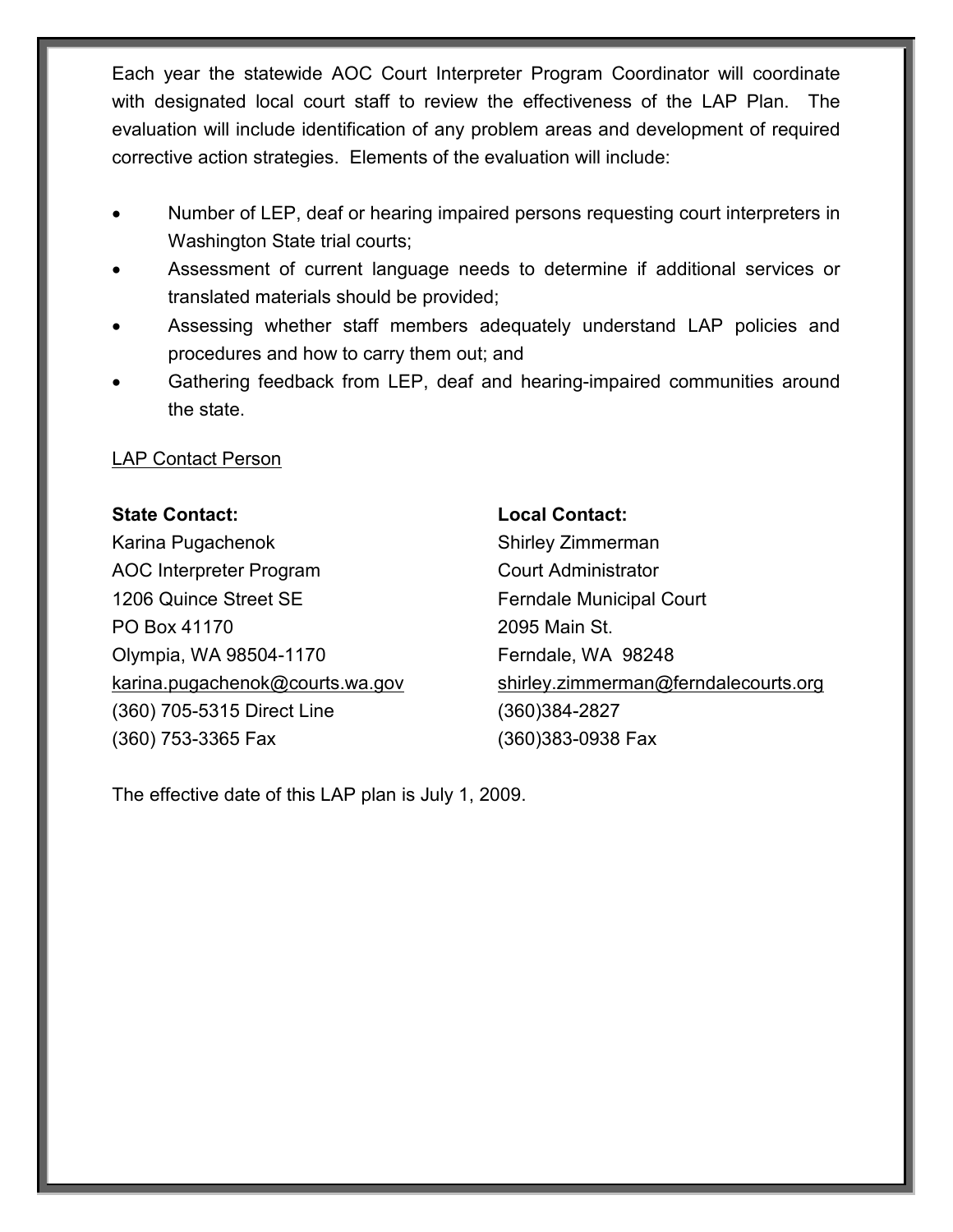Each year the statewide AOC Court Interpreter Program Coordinator will coordinate with designated local court staff to review the effectiveness of the LAP Plan. The evaluation will include identification of any problem areas and development of required corrective action strategies. Elements of the evaluation will include:

- Number of LEP, deaf or hearing impaired persons requesting court interpreters in Washington State trial courts;
- Assessment of current language needs to determine if additional services or translated materials should be provided;
- Assessing whether staff members adequately understand LAP policies and procedures and how to carry them out; and
- Gathering feedback from LEP, deaf and hearing-impaired communities around the state.

### LAP Contact Person

### **State Contact:**

Karina Pugachenok AOC Interpreter Program 1206 Quince Street SE PO Box 41170 Olympia, WA 98504-1170 karina.pugachenok@courts.wa.gov (360) 705-5315 Direct Line (360) 753-3365 Fax

### **Local Contact:**

Shirley Zimmerman Court Administrator Ferndale Municipal Court 2095 Main St. Ferndale, WA 98248 shirley.zimmerman@ferndalecourts.org (360)384-2827 (360)383-0938 Fax

The effective date of this LAP plan is July 1, 2009.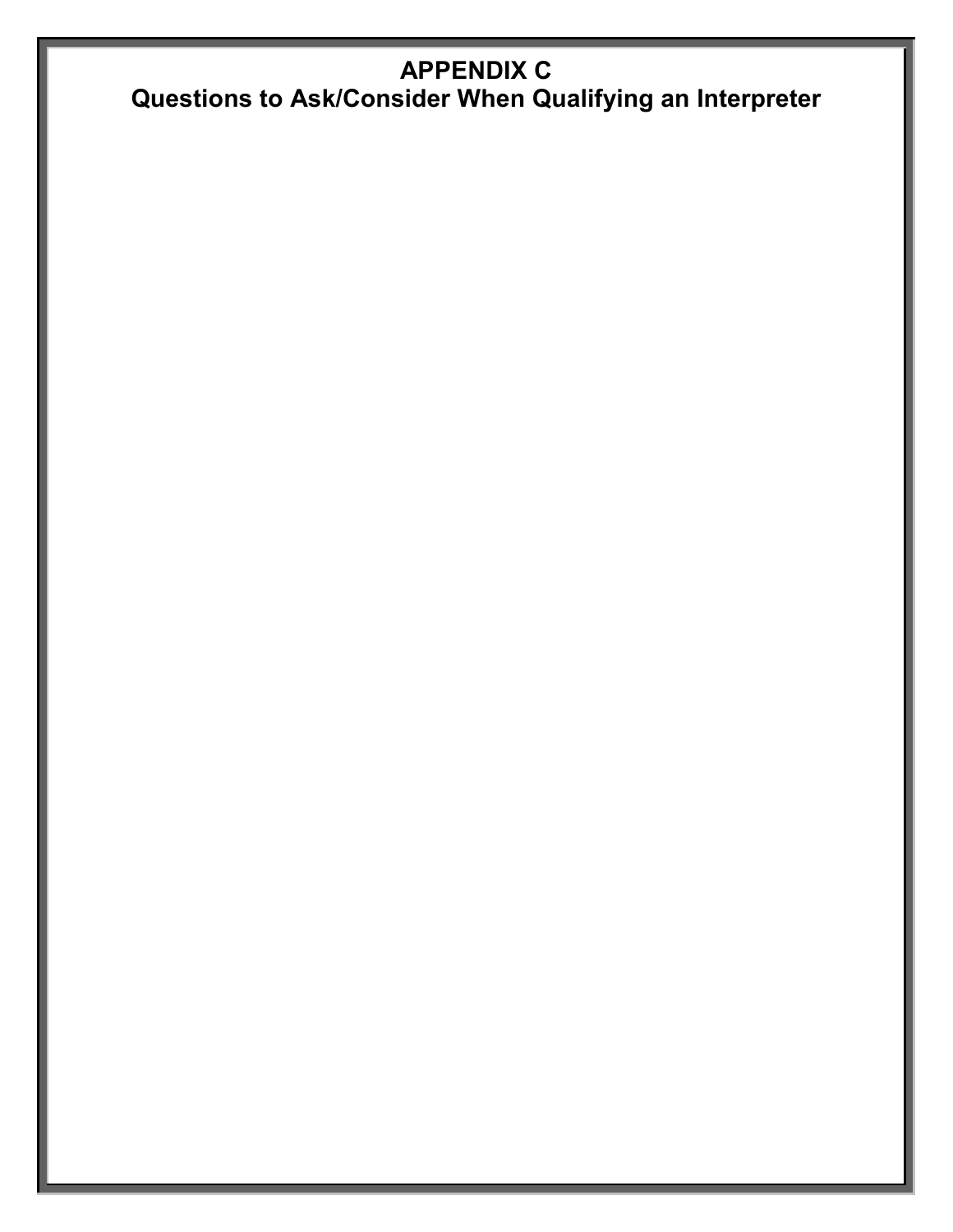## **APPENDIX C**

# **Questions to Ask/Consider When Qualifying an Interpreter**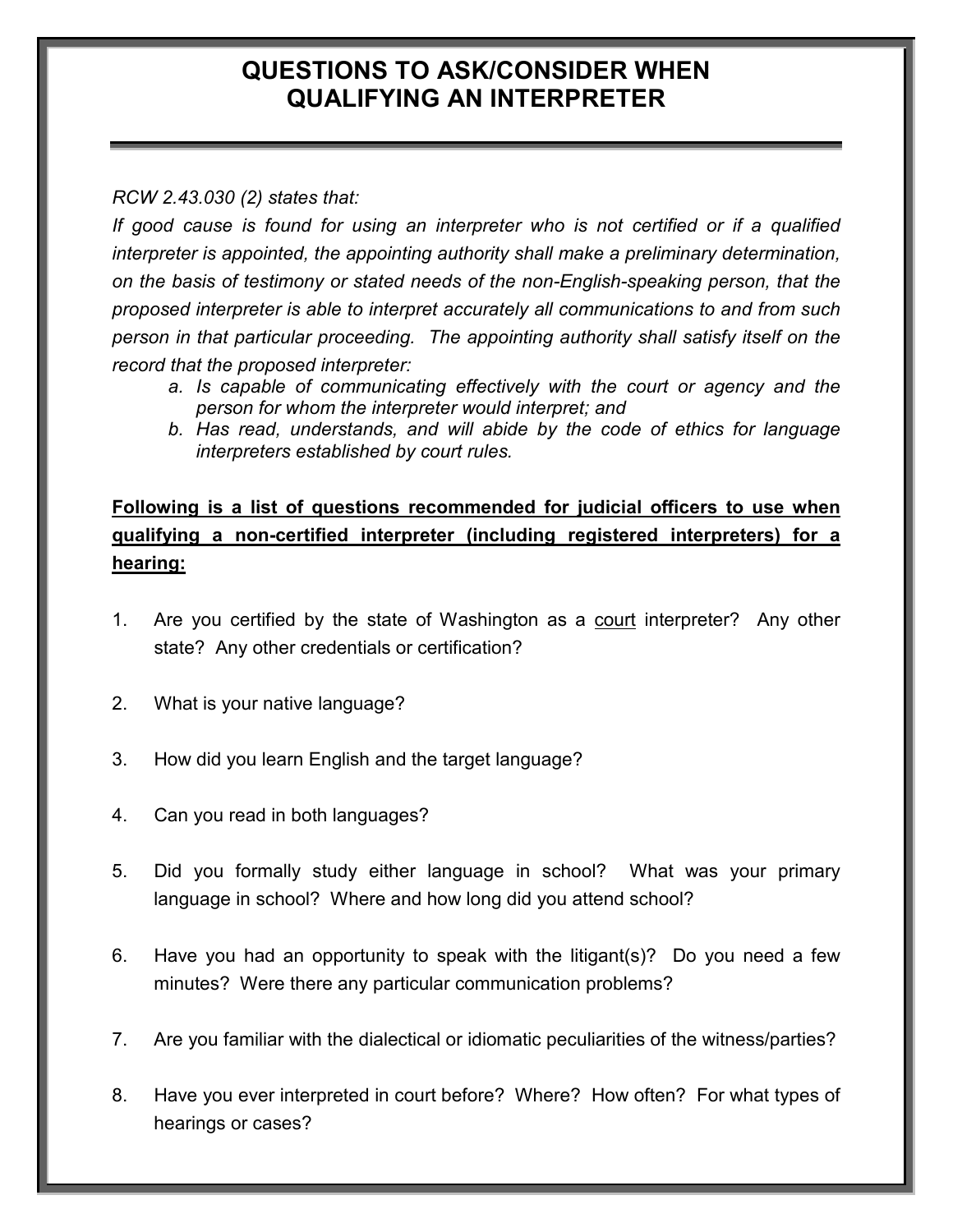## **QUESTIONS TO ASK/CONSIDER WHEN QUALIFYING AN INTERPRETER**

### *RCW 2.43.030 (2) states that:*

*If good cause is found for using an interpreter who is not certified or if a qualified interpreter is appointed, the appointing authority shall make a preliminary determination, on the basis of testimony or stated needs of the non-English-speaking person, that the proposed interpreter is able to interpret accurately all communications to and from such person in that particular proceeding. The appointing authority shall satisfy itself on the record that the proposed interpreter:* 

- *a. Is capable of communicating effectively with the court or agency and the person for whom the interpreter would interpret; and*
- *b. Has read, understands, and will abide by the code of ethics for language interpreters established by court rules.*

## **Following is a list of questions recommended for judicial officers to use when qualifying a non-certified interpreter (including registered interpreters) for a hearing:**

- 1. Are you certified by the state of Washington as a court interpreter? Any other state? Any other credentials or certification?
- 2. What is your native language?
- 3. How did you learn English and the target language?
- 4. Can you read in both languages?
- 5. Did you formally study either language in school? What was your primary language in school? Where and how long did you attend school?
- 6. Have you had an opportunity to speak with the litigant(s)? Do you need a few minutes? Were there any particular communication problems?
- 7. Are you familiar with the dialectical or idiomatic peculiarities of the witness/parties?
- 8. Have you ever interpreted in court before? Where? How often? For what types of hearings or cases?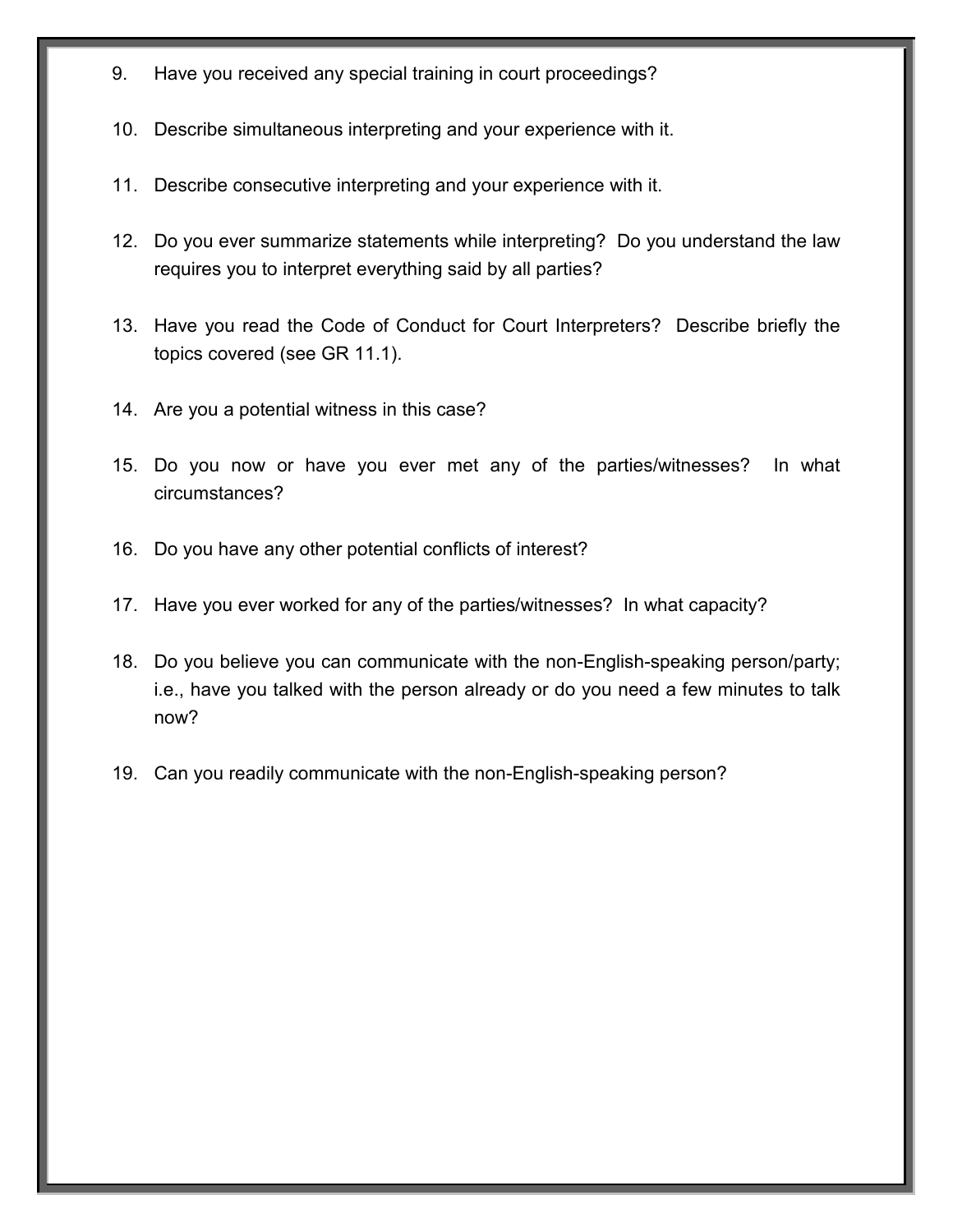- 9. Have you received any special training in court proceedings?
- 10. Describe simultaneous interpreting and your experience with it.
- 11. Describe consecutive interpreting and your experience with it.
- 12. Do you ever summarize statements while interpreting? Do you understand the law requires you to interpret everything said by all parties?
- 13. Have you read the Code of Conduct for Court Interpreters? Describe briefly the topics covered (see GR 11.1).
- 14. Are you a potential witness in this case?
- 15. Do you now or have you ever met any of the parties/witnesses? In what circumstances?
- 16. Do you have any other potential conflicts of interest?
- 17. Have you ever worked for any of the parties/witnesses? In what capacity?
- 18. Do you believe you can communicate with the non-English-speaking person/party; i.e., have you talked with the person already or do you need a few minutes to talk now?
- 19. Can you readily communicate with the non-English-speaking person?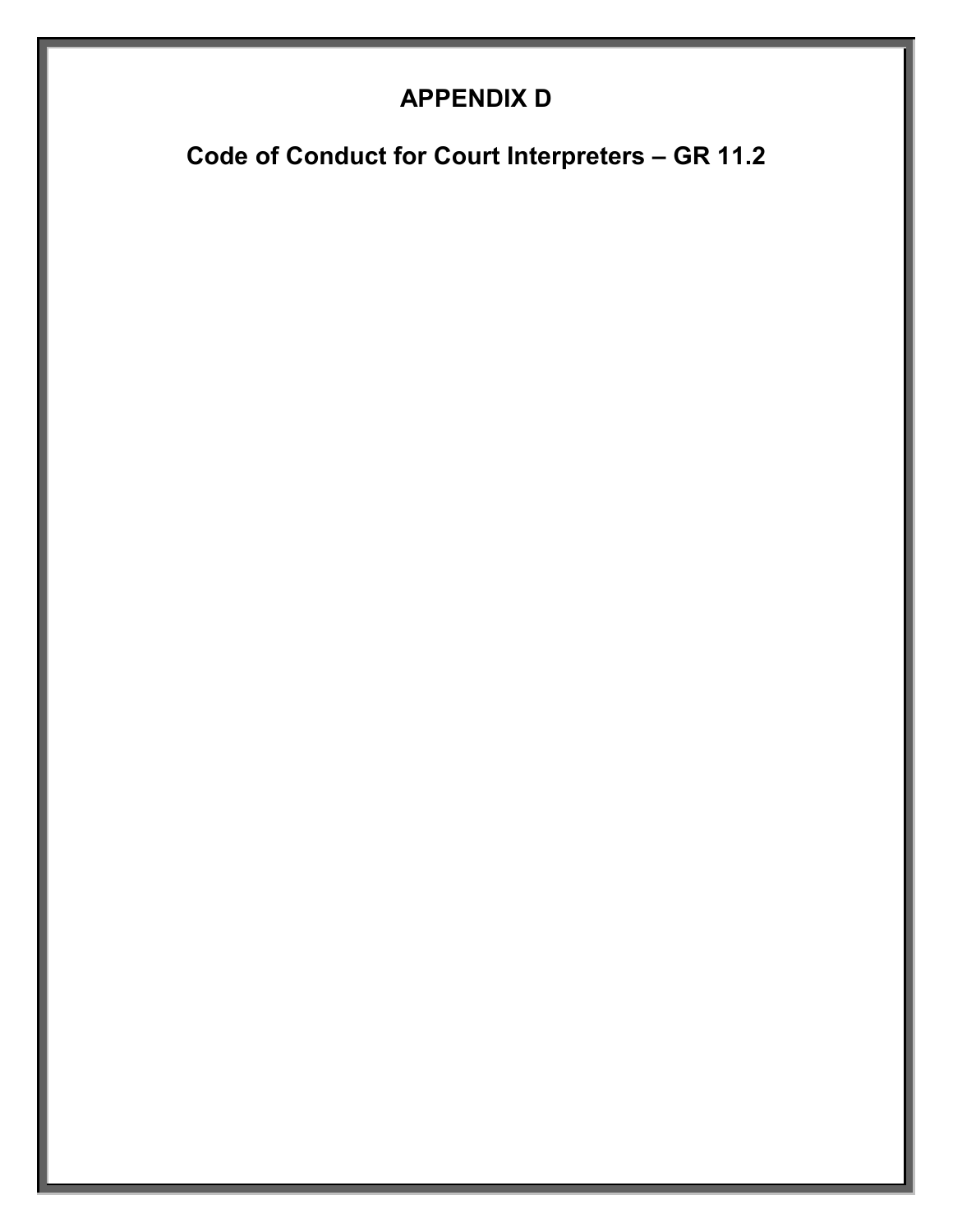# **APPENDIX D**

**Code of Conduct for Court Interpreters – GR 11.2**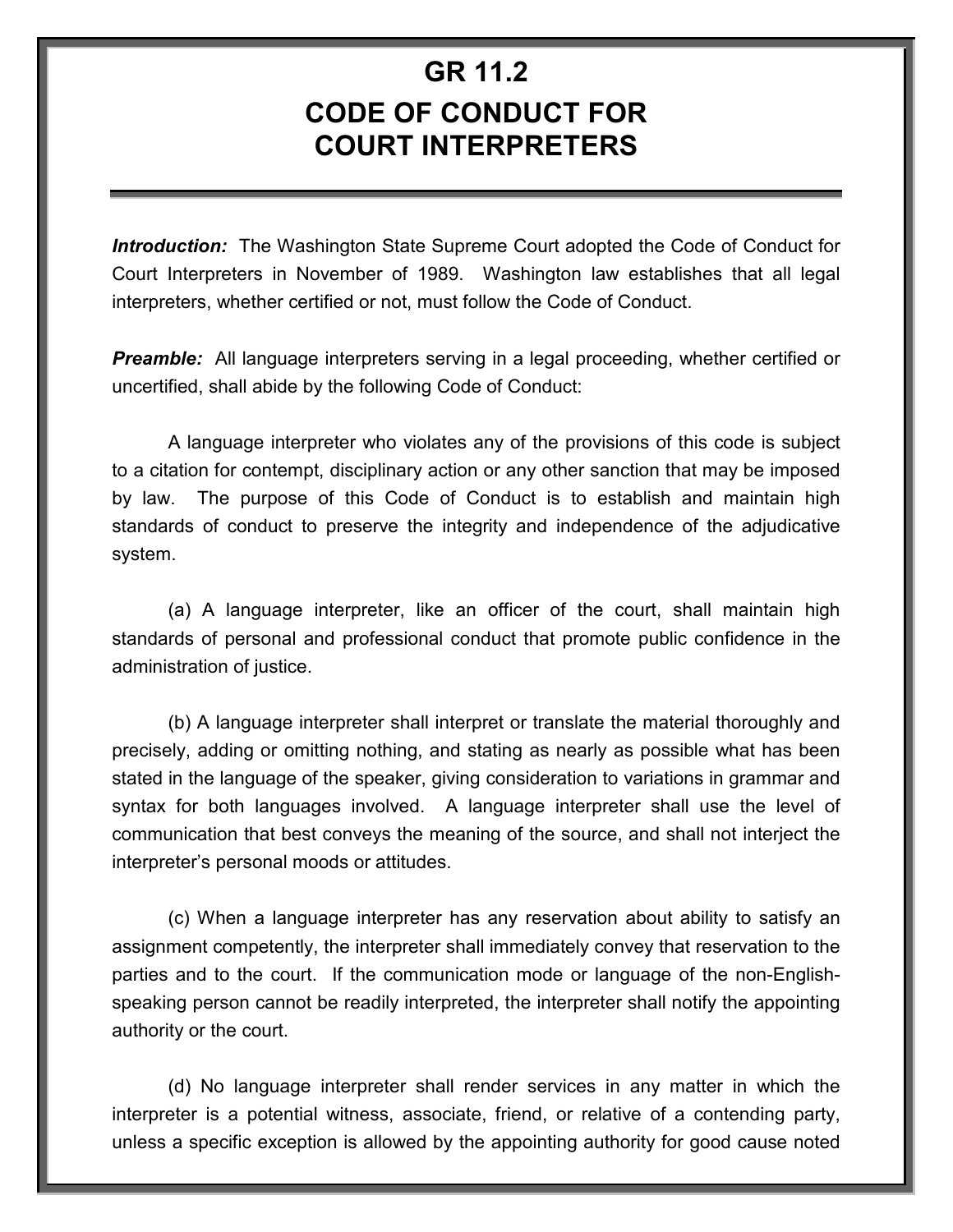# **GR 11.2 CODE OF CONDUCT FOR COURT INTERPRETERS**

*Introduction:* The Washington State Supreme Court adopted the Code of Conduct for Court Interpreters in November of 1989. Washington law establishes that all legal interpreters, whether certified or not, must follow the Code of Conduct.

**Preamble:** All language interpreters serving in a legal proceeding, whether certified or uncertified, shall abide by the following Code of Conduct:

 A language interpreter who violates any of the provisions of this code is subject to a citation for contempt, disciplinary action or any other sanction that may be imposed by law. The purpose of this Code of Conduct is to establish and maintain high standards of conduct to preserve the integrity and independence of the adjudicative system.

(a) A language interpreter, like an officer of the court, shall maintain high standards of personal and professional conduct that promote public confidence in the administration of justice.

(b) A language interpreter shall interpret or translate the material thoroughly and precisely, adding or omitting nothing, and stating as nearly as possible what has been stated in the language of the speaker, giving consideration to variations in grammar and syntax for both languages involved. A language interpreter shall use the level of communication that best conveys the meaning of the source, and shall not interject the interpreter's personal moods or attitudes.

(c) When a language interpreter has any reservation about ability to satisfy an assignment competently, the interpreter shall immediately convey that reservation to the parties and to the court. If the communication mode or language of the non-Englishspeaking person cannot be readily interpreted, the interpreter shall notify the appointing authority or the court.

(d) No language interpreter shall render services in any matter in which the interpreter is a potential witness, associate, friend, or relative of a contending party, unless a specific exception is allowed by the appointing authority for good cause noted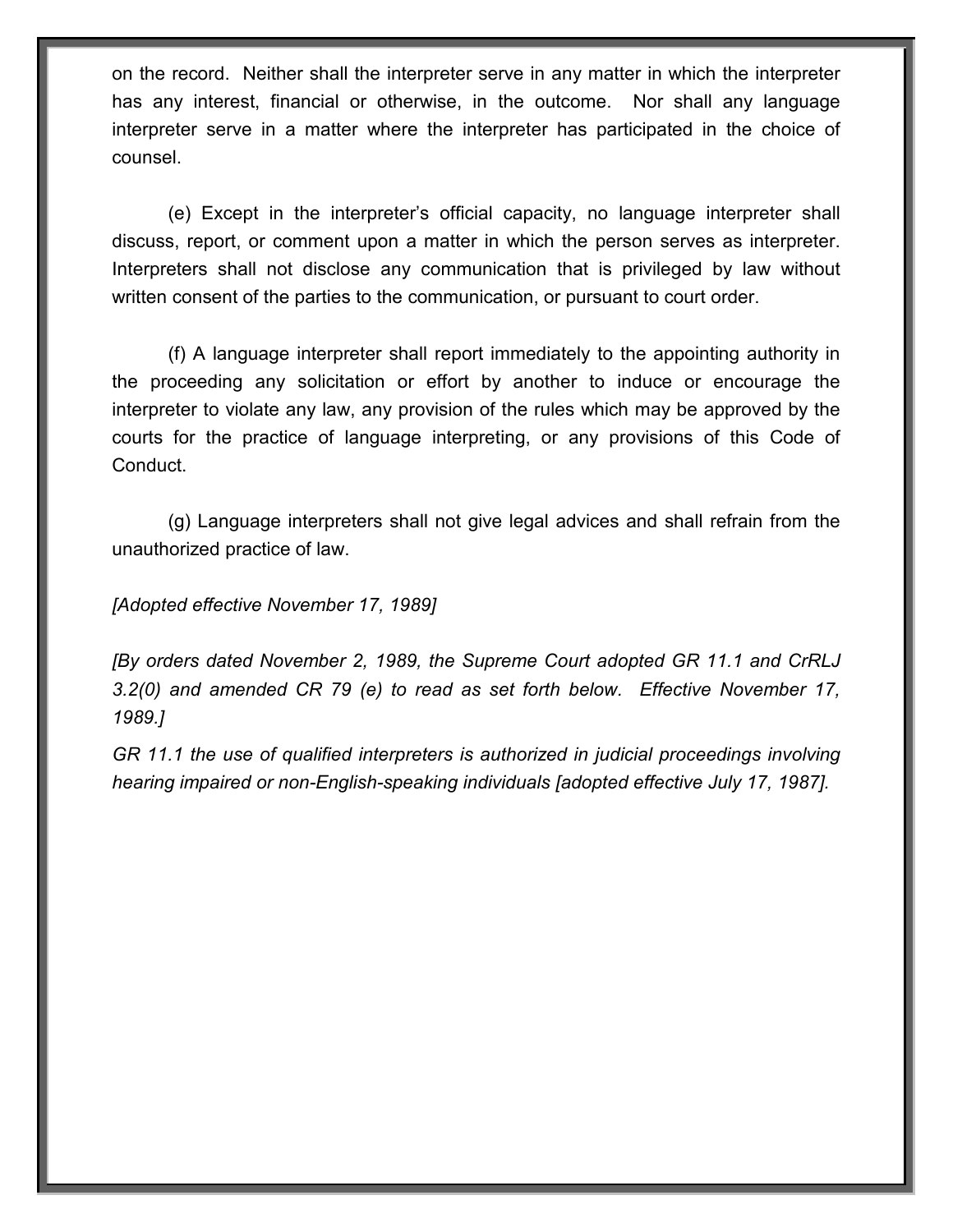on the record. Neither shall the interpreter serve in any matter in which the interpreter has any interest, financial or otherwise, in the outcome. Nor shall any language interpreter serve in a matter where the interpreter has participated in the choice of counsel.

(e) Except in the interpreter's official capacity, no language interpreter shall discuss, report, or comment upon a matter in which the person serves as interpreter. Interpreters shall not disclose any communication that is privileged by law without written consent of the parties to the communication, or pursuant to court order.

(f) A language interpreter shall report immediately to the appointing authority in the proceeding any solicitation or effort by another to induce or encourage the interpreter to violate any law, any provision of the rules which may be approved by the courts for the practice of language interpreting, or any provisions of this Code of Conduct.

(g) Language interpreters shall not give legal advices and shall refrain from the unauthorized practice of law.

#### *[Adopted effective November 17, 1989]*

*[By orders dated November 2, 1989, the Supreme Court adopted GR 11.1 and CrRLJ 3.2(0) and amended CR 79 (e) to read as set forth below. Effective November 17, 1989.]* 

*GR 11.1 the use of qualified interpreters is authorized in judicial proceedings involving hearing impaired or non-English-speaking individuals [adopted effective July 17, 1987].*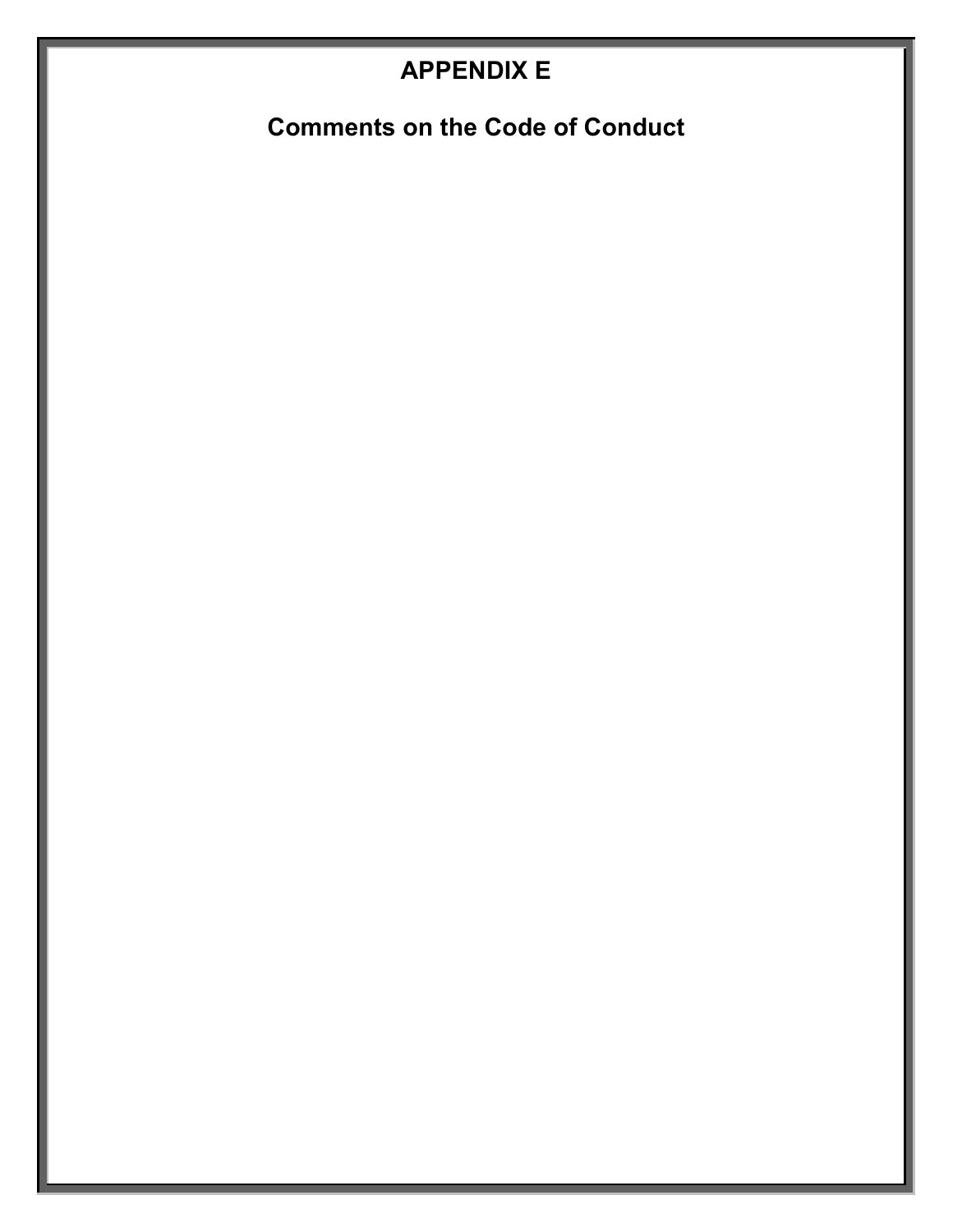## **APPENDIX E**

**Comments on the Code of Conduct**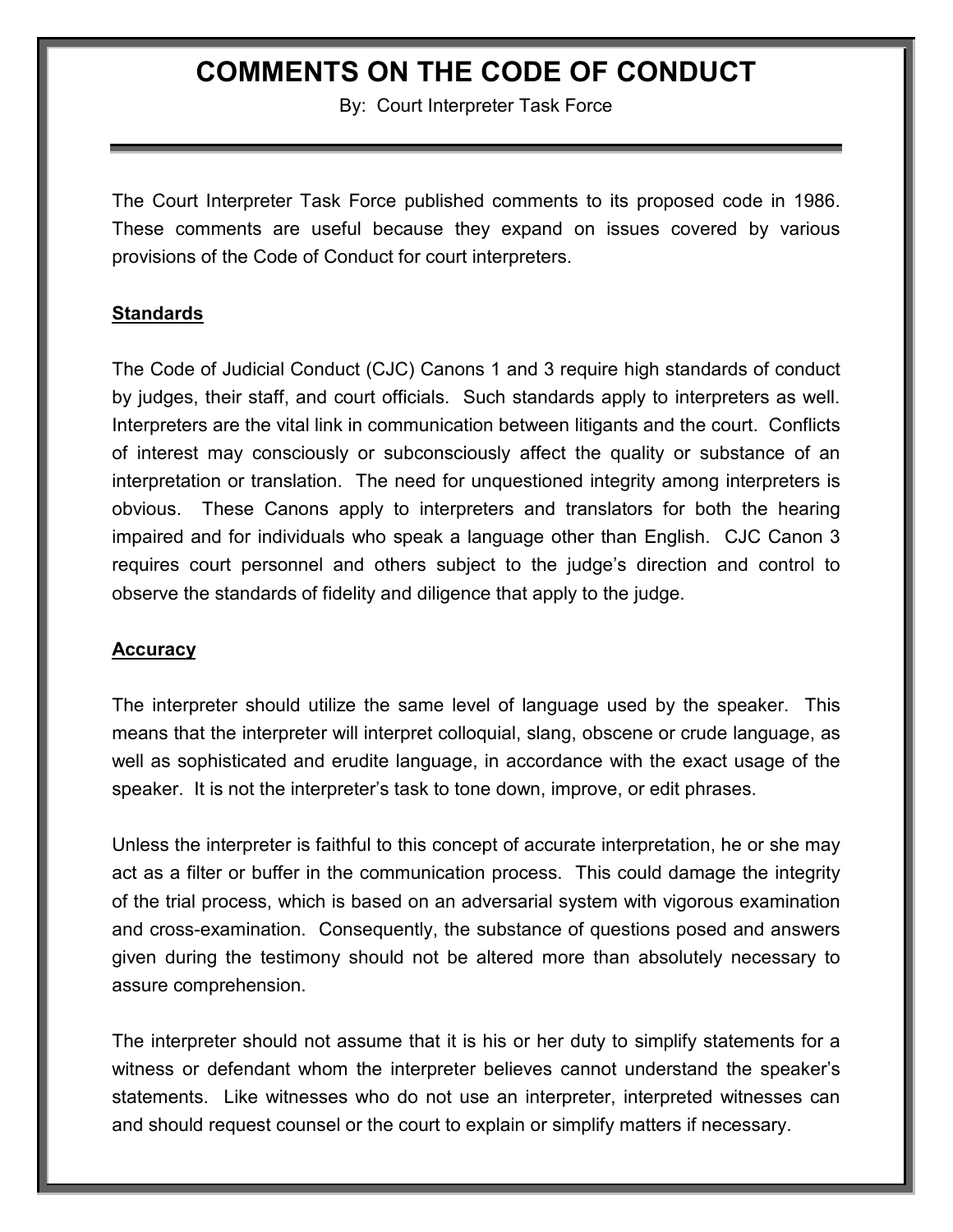# **COMMENTS ON THE CODE OF CONDUCT**

By: Court Interpreter Task Force

The Court Interpreter Task Force published comments to its proposed code in 1986. These comments are useful because they expand on issues covered by various provisions of the Code of Conduct for court interpreters.

### **Standards**

The Code of Judicial Conduct (CJC) Canons 1 and 3 require high standards of conduct by judges, their staff, and court officials. Such standards apply to interpreters as well. Interpreters are the vital link in communication between litigants and the court. Conflicts of interest may consciously or subconsciously affect the quality or substance of an interpretation or translation. The need for unquestioned integrity among interpreters is obvious. These Canons apply to interpreters and translators for both the hearing impaired and for individuals who speak a language other than English. CJC Canon 3 requires court personnel and others subject to the judge's direction and control to observe the standards of fidelity and diligence that apply to the judge.

### **Accuracy**

The interpreter should utilize the same level of language used by the speaker. This means that the interpreter will interpret colloquial, slang, obscene or crude language, as well as sophisticated and erudite language, in accordance with the exact usage of the speaker. It is not the interpreter's task to tone down, improve, or edit phrases.

Unless the interpreter is faithful to this concept of accurate interpretation, he or she may act as a filter or buffer in the communication process. This could damage the integrity of the trial process, which is based on an adversarial system with vigorous examination and cross-examination. Consequently, the substance of questions posed and answers given during the testimony should not be altered more than absolutely necessary to assure comprehension.

The interpreter should not assume that it is his or her duty to simplify statements for a witness or defendant whom the interpreter believes cannot understand the speaker's statements. Like witnesses who do not use an interpreter, interpreted witnesses can and should request counsel or the court to explain or simplify matters if necessary.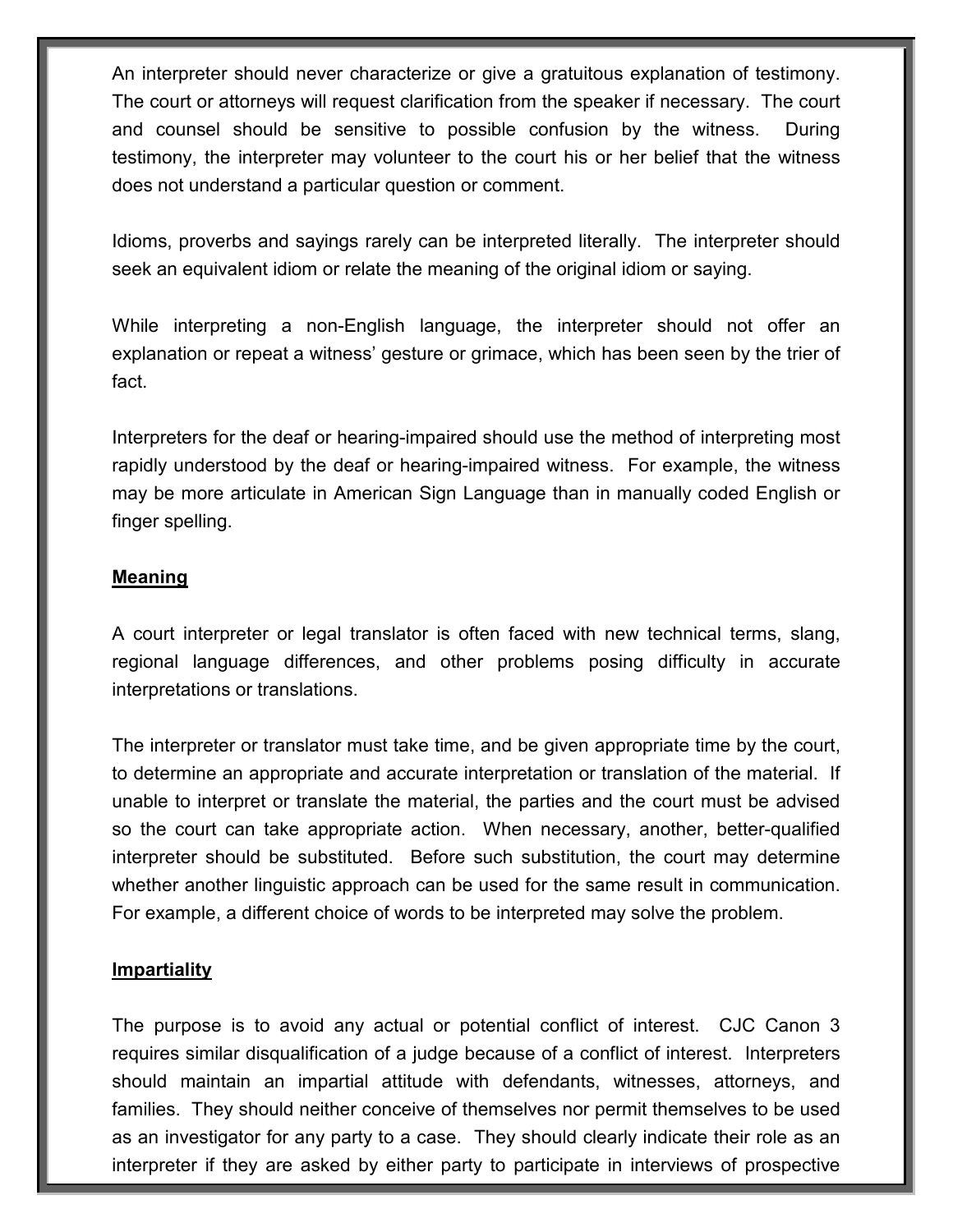An interpreter should never characterize or give a gratuitous explanation of testimony. The court or attorneys will request clarification from the speaker if necessary. The court and counsel should be sensitive to possible confusion by the witness. During testimony, the interpreter may volunteer to the court his or her belief that the witness does not understand a particular question or comment.

Idioms, proverbs and sayings rarely can be interpreted literally. The interpreter should seek an equivalent idiom or relate the meaning of the original idiom or saying.

While interpreting a non-English language, the interpreter should not offer an explanation or repeat a witness' gesture or grimace, which has been seen by the trier of fact.

Interpreters for the deaf or hearing-impaired should use the method of interpreting most rapidly understood by the deaf or hearing-impaired witness. For example, the witness may be more articulate in American Sign Language than in manually coded English or finger spelling.

### **Meaning**

A court interpreter or legal translator is often faced with new technical terms, slang, regional language differences, and other problems posing difficulty in accurate interpretations or translations.

The interpreter or translator must take time, and be given appropriate time by the court, to determine an appropriate and accurate interpretation or translation of the material. If unable to interpret or translate the material, the parties and the court must be advised so the court can take appropriate action. When necessary, another, better-qualified interpreter should be substituted. Before such substitution, the court may determine whether another linguistic approach can be used for the same result in communication. For example, a different choice of words to be interpreted may solve the problem.

### **Impartiality**

The purpose is to avoid any actual or potential conflict of interest. CJC Canon 3 requires similar disqualification of a judge because of a conflict of interest. Interpreters should maintain an impartial attitude with defendants, witnesses, attorneys, and families. They should neither conceive of themselves nor permit themselves to be used as an investigator for any party to a case. They should clearly indicate their role as an interpreter if they are asked by either party to participate in interviews of prospective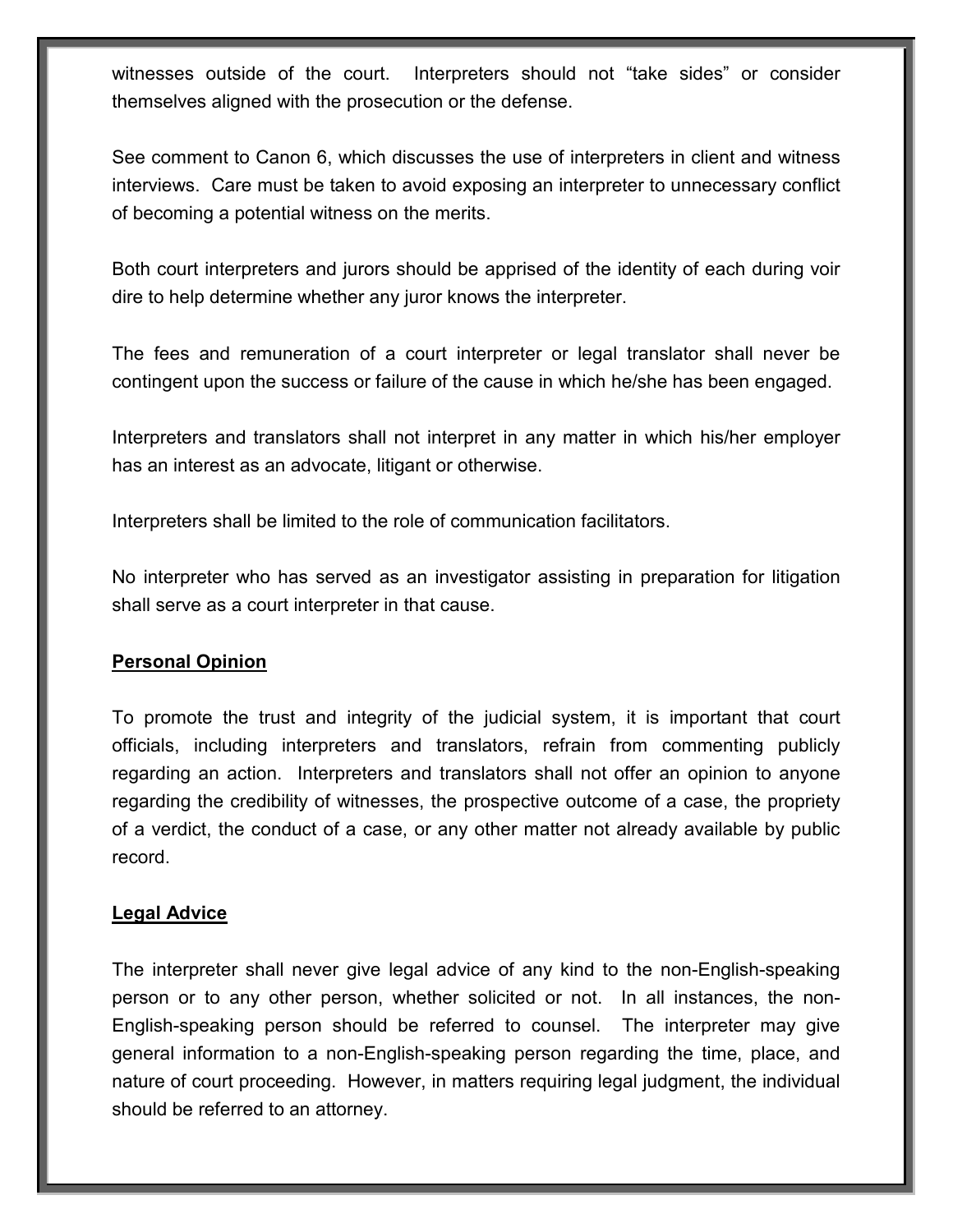witnesses outside of the court. Interpreters should not "take sides" or consider themselves aligned with the prosecution or the defense.

See comment to Canon 6, which discusses the use of interpreters in client and witness interviews. Care must be taken to avoid exposing an interpreter to unnecessary conflict of becoming a potential witness on the merits.

Both court interpreters and jurors should be apprised of the identity of each during voir dire to help determine whether any juror knows the interpreter.

The fees and remuneration of a court interpreter or legal translator shall never be contingent upon the success or failure of the cause in which he/she has been engaged.

Interpreters and translators shall not interpret in any matter in which his/her employer has an interest as an advocate, litigant or otherwise.

Interpreters shall be limited to the role of communication facilitators.

No interpreter who has served as an investigator assisting in preparation for litigation shall serve as a court interpreter in that cause.

### **Personal Opinion**

To promote the trust and integrity of the judicial system, it is important that court officials, including interpreters and translators, refrain from commenting publicly regarding an action. Interpreters and translators shall not offer an opinion to anyone regarding the credibility of witnesses, the prospective outcome of a case, the propriety of a verdict, the conduct of a case, or any other matter not already available by public record.

### **Legal Advice**

The interpreter shall never give legal advice of any kind to the non-English-speaking person or to any other person, whether solicited or not. In all instances, the non-English-speaking person should be referred to counsel. The interpreter may give general information to a non-English-speaking person regarding the time, place, and nature of court proceeding. However, in matters requiring legal judgment, the individual should be referred to an attorney.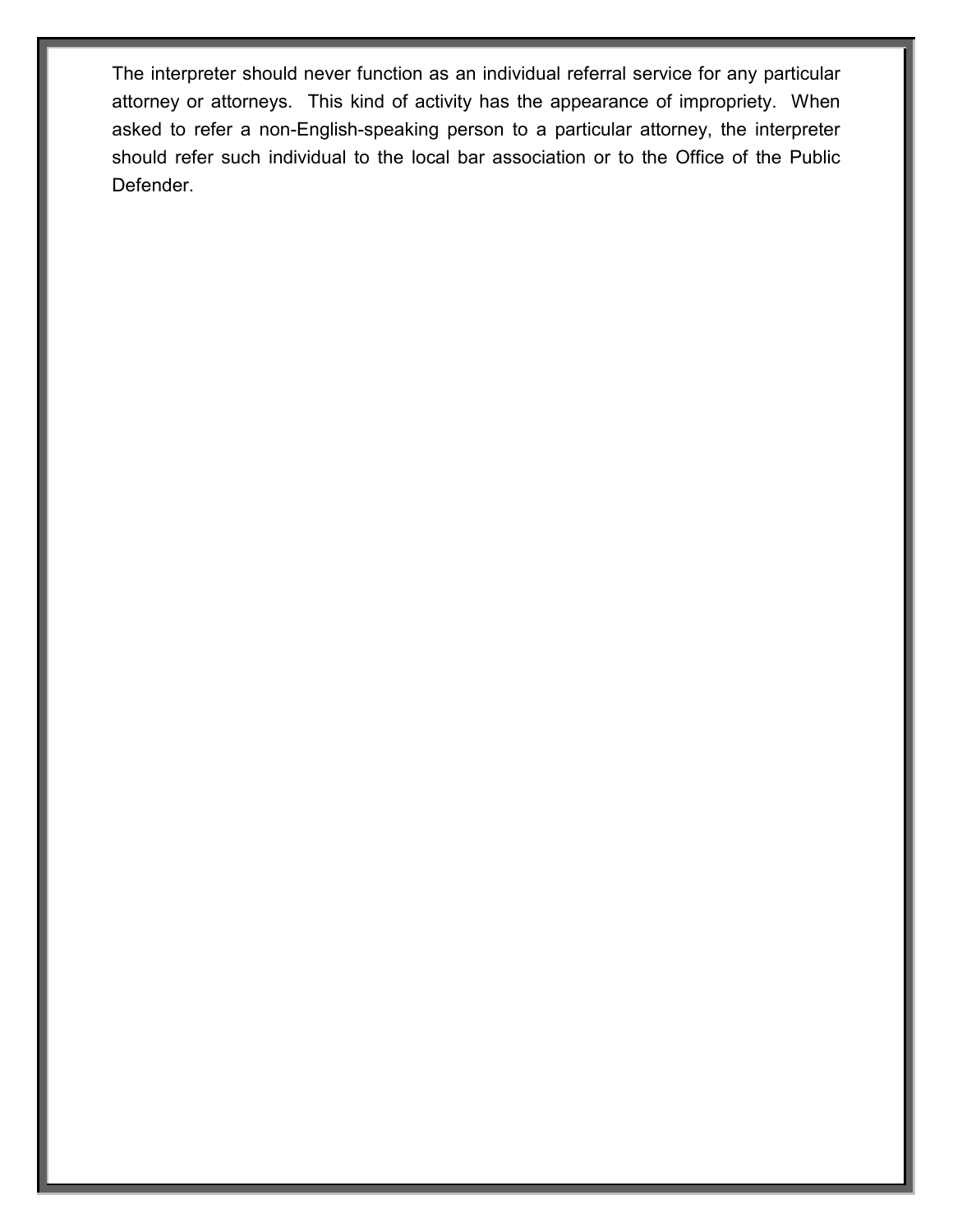The interpreter should never function as an individual referral service for any particular attorney or attorneys. This kind of activity has the appearance of impropriety. When asked to refer a non-English-speaking person to a particular attorney, the interpreter should refer such individual to the local bar association or to the Office of the Public Defender.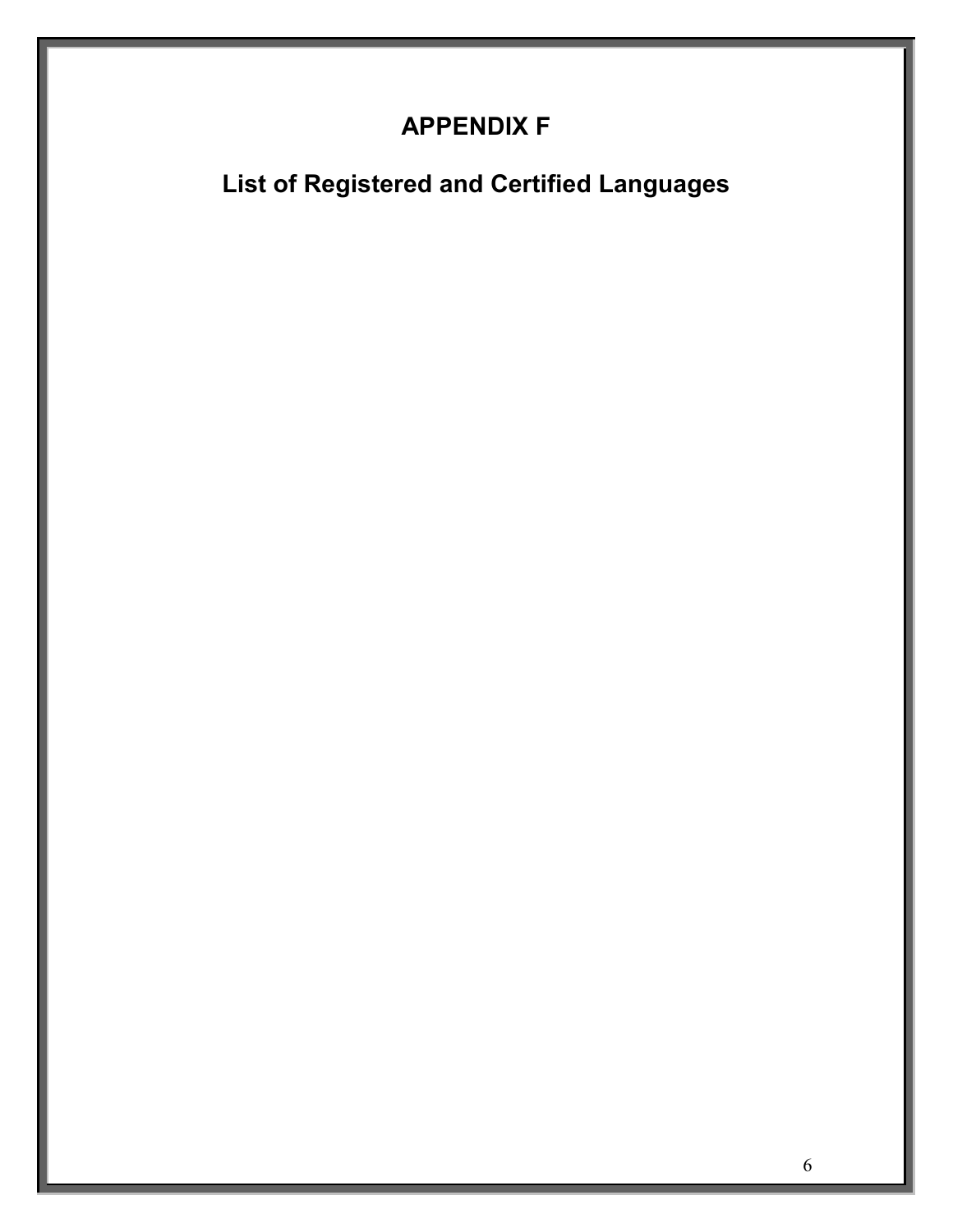# **APPENDIX F**

**List of Registered and Certified Languages**